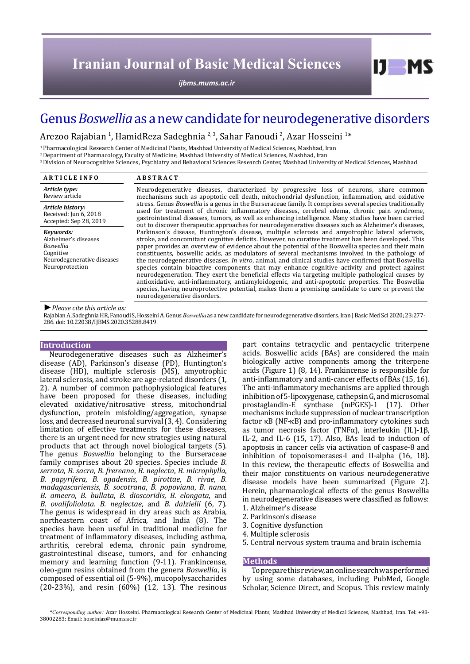*[ijbms.mums.ac.ir](http://ijbms.mums.ac.ir)*

# Genus *Boswellia* as a new candidate for neurodegenerative disorders

Arezoo Rajabian <sup>1</sup>, HamidReza Sadeghnia <sup>2, 3</sup>, Sahar Fanoudi <sup>2</sup>, Azar Hosseini <sup>1</sup>\*

1 Pharmacological Research Center of Medicinal Plants, Mashhad University of Medical Sciences, Mashhad, Iran

2 Department of Pharmacology, Faculty of Medicine, Mashhad University of Medical Sciences, Mashhad, Iran

3 Division of Neurocognitive Sciences, Psychiatry and Behavioral Sciences Research Center, Mashhad University of Medical Sciences, Mashhad

| <b>ARTICLE INFO</b>                                                                                          | <b>ABSTRACT</b>                                                                                                                                                                                                                                                                                                                                                                                                                                                                                                                                                                                                                                                                                                                                                                                                                                                                                                                                                           |
|--------------------------------------------------------------------------------------------------------------|---------------------------------------------------------------------------------------------------------------------------------------------------------------------------------------------------------------------------------------------------------------------------------------------------------------------------------------------------------------------------------------------------------------------------------------------------------------------------------------------------------------------------------------------------------------------------------------------------------------------------------------------------------------------------------------------------------------------------------------------------------------------------------------------------------------------------------------------------------------------------------------------------------------------------------------------------------------------------|
| Article type:<br>Review article                                                                              | Neurodegenerative diseases, characterized by progressive loss of neurons, share common<br>mechanisms such as apoptotic cell death, mitochondrial dysfunction, inflammation, and oxidative<br>stress. Genus <i>Boswellia</i> is a genus in the Burseraceae family. It comprises several species traditionally<br>used for treatment of chronic inflammatory diseases, cerebral edema, chronic pain syndrome,<br>gastrointestinal diseases, tumors, as well as enhancing intelligence. Many studies have been carried<br>out to discover therapeutic approaches for neurodegenerative diseases such as Alzheimer's diseases,                                                                                                                                                                                                                                                                                                                                                |
| Article history:<br>Received: Jun 6, 2018<br>Accepted: Sep 28, 2019                                          |                                                                                                                                                                                                                                                                                                                                                                                                                                                                                                                                                                                                                                                                                                                                                                                                                                                                                                                                                                           |
| Kevwords:<br>Alzheimer's diseases<br>Boswellia<br>Cognitive<br>Neurodegenerative diseases<br>Neuroprotection | Parkinson's disease, Huntington's disease, multiple sclerosis and amyotrophic lateral sclerosis,<br>stroke, and concomitant cognitive deficits. However, no curative treatment has been developed. This<br>paper provides an overview of evidence about the potential of the Boswellia species and their main<br>constituents, boswellic acids, as modulators of several mechanisms involved in the pathology of<br>the neurodegenerative diseases. In vitro, animal, and clinical studies have confirmed that Boswellia<br>species contain bioactive components that may enhance cognitive activity and protect against<br>neurodegeneration. They exert the beneficial effects via targeting multiple pathological causes by<br>antioxidative, anti-inflammatory, antiamyloidogenic, and anti-apoptotic properties. The Boswellia<br>species, having neuroprotective potential, makes them a promising candidate to cure or prevent the<br>neurodegenerative disorders. |

## *►Please cite this article as:*

Rajabian A, Sadeghnia HR, Fanoudi S, HosseiniA. Genus*Boswellia* as a newcandidate for neurodegenerative disorders. Iran J Basic Med Sci 2020; 23:277- 286. doi: 10.22038/IJBMS.2020.35288.8419

## **Introduction**

Neurodegenerative diseases such as Alzheimer's disease (AD), Parkinson's disease (PD), Huntington's disease (HD), multiple sclerosis (MS), amyotrophic lateral sclerosis, and stroke are age-related disorders (1, 2). A number of common pathophysiological features have been proposed for these diseases, including elevated oxidative/nitrosative stress, mitochondrial dysfunction, protein misfolding/aggregation, synapse loss, and decreased neuronal survival (3, 4). Considering limitation of effective treatments for these diseases, there is an urgent need for new strategies using natural products that act through novel biological targets (5). The genus *Boswellia* belonging to the Burseraceae family comprises about 20 species. Species include *B. serrata*, *B. sacra*, *B. frereana*, *B. neglecta*, *B. microphylla*, *B. papyrifera*, *B. ogadensis*, *B. pirottae*, *B. rivae*, *B. madagascariensis*, *B. socotrana*, *B. popoviana*, *B. nana*, *B. ameero*, *B. bullata*, *B. dioscoridis*, *B. elongata*, and *B. ovalifoliolata*. *B. neglectae*, and *B. dalzielii* (6, 7). The genus is widespread in dry areas such as Arabia, northeastern coast of Africa, and India (8). The species have been useful in traditional medicine for treatment of inflammatory diseases, including asthma, arthritis, cerebral edema, chronic pain syndrome, gastrointestinal disease, tumors, and for enhancing memory and learning function (9-11). Frankincense, oleo-gum resins obtained from the genera *Boswellia*, is composed of essential oil (5-9%), mucopolysaccharides (20-23%), and resin (60%) (12, 13). The resinous part contains tetracyclic and pentacyclic triterpene acids. Boswellic acids (BAs) are considered the main biologically active components among the triterpene acids (Figure 1) (8, 14). Frankincense is responsible for anti-inflammatory and anti-cancer effects of BAs (15, 16). The anti-inflammatory mechanisms are applied through inhibition of 5-lipoxygenase, cathepsin G, and microsomal prostaglandin-E synthase (mPGES)-1 (17). Other mechanisms include suppression of nuclear transcription factor κB (NF-κB) and pro-inflammatory cytokines such as tumor necrosis factor (TNFα), interleukin (IL)-1β, IL-2, and IL-6 (15, 17). Also, BAs lead to induction of apoptosis in cancer cells via activation of caspase-8 and inhibition of topoisomerases-I and II-alpha (16, 18). In this review, the therapeutic effects of Boswellia and their major constituents on various neurodegenerative disease models have been summarized (Figure 2). Herein, pharmacological effects of the genus Boswellia in neurodegenerative diseases were classified as follows: 1. Alzheimer's disease

 $I$   $I$   $M$   $S$ 

- 2. Parkinson's disease
- 3. Cognitive dysfunction
- 4. Multiple sclerosis
- 
- 5. Central nervous system trauma and brain ischemia

#### **Methods**

To prepare this review, an online search was performed by using some databases, including PubMed, Google Scholar, Science Direct, and Scopus. This review mainly

*<sup>\*</sup>Corresponding author:* Azar Hosseini. Pharmacological Research Center of Medicinal Plants, Mashhad University of Medical Sciences, Mashhad, Iran. Tel: +98- 38002283; Email: hoseiniaz@mums.ac.ir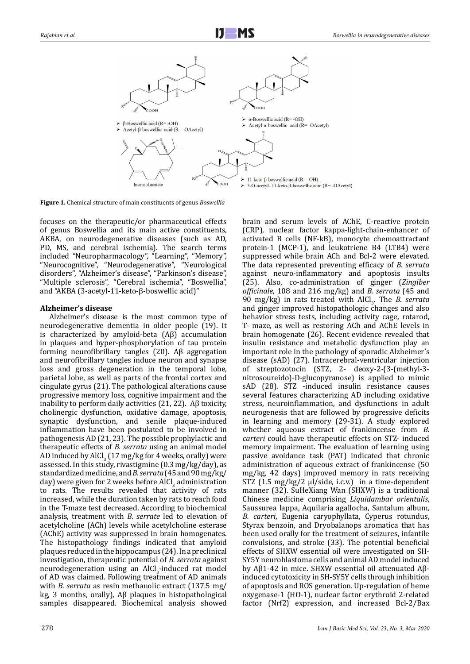

**Figure 1.** Chemical structure of main constituents of genus *Boswellia*

focuses on the therapeutic/or pharmaceutical effects of genus Boswellia and its main active constituents, AKBA, on neurodegenerative diseases (such as AD, PD, MS, and cerebral ischemia). The search terms included "Neuropharmacology", "Learning", "Memory", "Neurocognitive", "Neurodegenerative", "Neurological disorders", "Alzheimer's disease", "Parkinson's disease", "Multiple sclerosis", "Cerebral ischemia", "Boswellia", and "AKBA (3-acetyl-11-keto-β-boswellic acid)"

# **Alzheimer's disease**

Alzheimer's disease is the most common type of neurodegenerative dementia in older people (19). It is characterized by amyloid-beta (Aβ) accumulation in plaques and hyper-phosphorylation of tau protein forming neurofibrillary tangles (20). Aβ aggregation and neurofibrillary tangles induce neuron and synapse loss and gross degeneration in the temporal lobe, parietal lobe, as well as parts of the frontal cortex and cingulate gyrus (21). The pathological alterations cause progressive memory loss, cognitive impairment and the inability to perform daily activities  $(21, 22)$ . A $\beta$  toxicity, cholinergic dysfunction, oxidative damage, apoptosis, synaptic dysfunction, and senile plaque-induced inflammation have been postulated to be involved in pathogenesis AD (21, 23). The possible prophylactic and therapeutic effects of *B. serrata* using an animal model AD induced by AlCl<sub>3</sub> (17 mg/kg for 4 weeks, orally) were assessed. In this study, rivastigmine (0.3 mg/kg/day), as standardized medicine, and *B. serrata* (45 and 90 mg/kg/ day) were given for 2 weeks before AlCl<sub>3</sub> administration to rats. The results revealed that activity of rats increased, while the duration taken by rats to reach food in the T-maze test decreased. According to biochemical analysis, treatment with *B. serrate* led to elevation of acetylcholine (ACh) levels while acetylcholine esterase (AChE) activity was suppressed in brain homogenates. The histopathology findings indicated that amyloid plaques reduced in the hippocampus (24). In a preclinical investigation, therapeutic potential of *B. serrata* against neurodegeneration using an AlCl<sub>3</sub>-induced rat model of AD was claimed. Following treatment of AD animals with *B. serrata* as resin methanolic extract (137.5 mg/ kg, 3 months, orally), Aβ plaques in histopathological samples disappeared. Biochemical analysis showed

brain and serum levels of AChE, C-reactive protein (CRP), nuclear factor kappa-light-chain-enhancer of activated B cells (NF-kB), monocyte chemoattractant protein-1 (MCP-1), and leukotriene B4 (LTB4) were suppressed while brain ACh and Bcl-2 were elevated. The data represented preventing efficacy of *B. serrata* against neuro-inflammatory and apoptosis insults (25). Also, co-administration of ginger (*Zingiber officinale*, 108 and 216 mg/kg) and *B. serrata* (45 and 90 mg/kg) in rats treated with AlCl<sub>3</sub>. The *B. serrata* and ginger improved histopathologic changes and also behavior stress tests, including activity cage, rotarod, T- maze, as well as restoring ACh and AChE levels in brain homogenate (26). Recent evidence revealed that insulin resistance and metabolic dysfunction play an important role in the pathology of sporadic Alzheimer's disease (sAD) (27). Intracerebral-ventricular injection of streptozotocin (STZ, 2- deoxy-2-(3-(methyl-3 nitrosoureido)-D-glucopyranose) is applied to mimic sAD (28). STZ -induced insulin resistance causes several features characterizing AD including oxidative stress, neuroinflammation, and dysfunctions in adult neurogenesis that are followed by progressive deficits in learning and memory (29-31). A study explored whether aqueous extract of frankincense from *B. carteri* could have therapeutic effects on STZ- induced memory impairment. The evaluation of learning using passive avoidance task (PAT) indicated that chronic administration of aqueous extract of frankincense (50 mg/kg, 42 days) improved memory in rats receiving STZ (1.5 mg/kg/2 μl/side, i.c.v.) in a time-dependent manner (32). SuHeXiang Wan (SHXW) is a traditional Chinese medicine comprising *Liquidambar orientalis*, Saussurea lappa, Aquilaria agallocha, Santalum album, *B. carteri*, Eugenia caryophyllata, Cyperus rotundus, Styrax benzoin, and Dryobalanops aromatica that has been used orally for the treatment of seizures, infantile convulsions, and stroke (33). The potential beneficial effects of SHXW essential oil were investigated on SH-SY5Y neuroblastoma cells and animal AD model induced by Aβ1-42 in mice. SHXW essential oil attenuated Aβinduced cytotoxicity in SH-SY5Y cells through inhibition of apoptosis and ROS generation. Up-regulation of heme oxygenase-1 (HO-1), nuclear factor erythroid 2-related factor (Nrf2) expression, and increased Bcl-2/Bax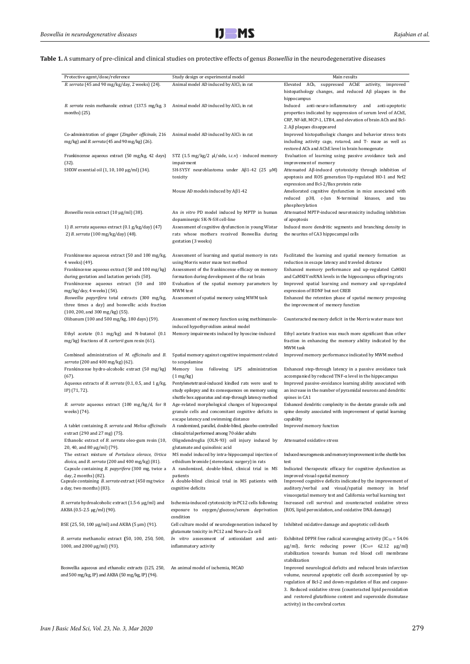**Table 1.** A summary of pre-clinical and clinical studies on protective effects of genus *Boswellia* in the neurodegenerative diseases

| Protective agent/dose/reference                                                                                                       | Study design or experimental model                                                                                                                                          | Main results                                                                                                                                                                                                                                                                                                                                            |
|---------------------------------------------------------------------------------------------------------------------------------------|-----------------------------------------------------------------------------------------------------------------------------------------------------------------------------|---------------------------------------------------------------------------------------------------------------------------------------------------------------------------------------------------------------------------------------------------------------------------------------------------------------------------------------------------------|
| B. serrata (45 and 90 mg/kg/day, 2 weeks) (24).                                                                                       | Animal model AD induced by AlCl <sub>3</sub> in rat                                                                                                                         | Elevated ACh, suppressed AChE activity, improved<br>histopathology changes, and reduced $\mathsf{A}\beta$ plaques in the<br>hippocampus                                                                                                                                                                                                                 |
| B. serrata resin methanolic extract (137.5 mg/kg, 3<br>months) $(25)$ .                                                               | Animal model AD induced by AlCl <sub>3</sub> in rat                                                                                                                         | Induced anti-neuro-inflammatory<br>and anti-apoptotic<br>properties indicated by suppression of serum level of AChE,<br>CRP, NF-kB, MCP-1, LTB4, and elevation of brain ACh and Bcl-                                                                                                                                                                    |
| Co-administration of ginger (Zingiber officinale, 216<br>mg/kg) and B. serrata (45 and 90 mg/kg) (26).                                | Animal model AD induced by AlCl <sub>3</sub> in rat                                                                                                                         | 2. $\mathsf{AB}$ plaques disappeared<br>Improved histopathologic changes and behavior stress tests<br>including activity cage, rotarod, and T- maze as well as<br>restored ACh and AChE level in brain homogenate                                                                                                                                       |
| Frankincense aqueous extract (50 mg/kg, 42 days)<br>(32).                                                                             | STZ (1.5 mg/kg/2 μl/side, i.c.v) - induced memory<br>impairment                                                                                                             | Evaluation of learning using passive avoidance task and<br>improvement of memory                                                                                                                                                                                                                                                                        |
| SHXW essential oil (1, 10, 100 μg/ml) (34).                                                                                           | SH-SY5Y neuroblastoma under Aß1-42 (25 µM)<br>toxicity                                                                                                                      | Attenuated Aβ-induced cytotoxicity through inhibition of<br>apoptosis and ROS generation Up-regulated HO-1 and Nrf2<br>expression and Bcl-2/Bax protein ratio                                                                                                                                                                                           |
|                                                                                                                                       | Mouse AD models induced by $A\beta1-42$                                                                                                                                     | Ameliorated cognitive dysfunction in mice associated with<br>reduced p38, c-Jun N-terminal kinases, and tau<br>phosphorylation                                                                                                                                                                                                                          |
| Boswellia resin extract (10 µg/ml) (38).                                                                                              | An in vitro PD model induced by MPTP in human<br>dopaminergic SK-N-SH cell-line                                                                                             | Attenuated MPTP-induced neurotoxicity including inhibition<br>of apoptosis                                                                                                                                                                                                                                                                              |
| 1) B. serrata aqueous extract (0.1 g/kg/day) (47)<br>2) B. serrata (100 mg/kg/day) (48).                                              | Assessment of cognitive dysfunction in young Wistar<br>rats whose mothers received Boswellia during<br>gestation (3 weeks)                                                  | Induced more dendritic segments and branching density in<br>the neurites of CA3 hippocampal cells                                                                                                                                                                                                                                                       |
| Frankinsense aqueous extract (50 and 100 mg/kg,<br>4 weeks) (49).                                                                     | Assessment of learning and spatial memory in rats<br>using Morris water maze test method                                                                                    | Facilitated the learning and spatial memory formation as<br>reduction in escape latency and traveled distance                                                                                                                                                                                                                                           |
| Frankincense aqueous extract (50 and 100 mg/kg)<br>during gestation and lactation periods (50).                                       | Assessment of the frankincense efficacy on memory<br>formation during development of the rat brain                                                                          | Enhanced memory performance and up-regulated CaMKII<br>and CaMKIV mRNA levels in the hippocampus offspring rats                                                                                                                                                                                                                                         |
| Frankincense aqueous extract (50 and 100<br>mg/kg/day, 4 weeks) (54).                                                                 | Evaluation of the spatial memory parameters by<br>MWM test                                                                                                                  | Improved spatial learning and memory and up-regulated<br>expression of BDNF but not CREB                                                                                                                                                                                                                                                                |
| Boswellia papyrifera total extracts (300 mg/kg,<br>three times a day) and boswellic acids fraction<br>(100, 200, and 300 mg/kg) (55). | Assessment of spatial memory using MWM task                                                                                                                                 | Enhanced the retention phase of spatial memory proposing<br>the improvement of memory function                                                                                                                                                                                                                                                          |
| Olibanum (100 and 500 mg/kg, 180 days) (59).                                                                                          | Assessment of memory function using methimazole-<br>induced hypothyroidism animal model                                                                                     | Counteracted memory deficit in the Morris water maze test                                                                                                                                                                                                                                                                                               |
| Ethyl acetate (0.1 mg/kg) and N-butanol (0.1<br>mg/kg) fractions of <i>B. carterii</i> gum resin (61).                                | Memory impairments induced by hyoscine-induced                                                                                                                              | Ethyl acetate fraction was much more significant than other<br>fraction in enhancing the memory ability indicated by the<br>MWM task                                                                                                                                                                                                                    |
| Combined administration of <i>M. officinalis</i> and <i>B.</i><br>serrata (200 and 400 mg/kg) (62).                                   | Spatial memory against cognitive impairment related<br>to scopolamine                                                                                                       | Improved memory performance indicated by MWM method                                                                                                                                                                                                                                                                                                     |
| Frankincense hydro-alcoholic extract (50 mg/kg)<br>$(67)$ .<br>Aqueous extracts of <i>B. serrata</i> (0.1, 0.5, and 1 g/kg,           | Memory loss following LPS<br>administration<br>$(1 \text{ mg/kg})$<br>Pentylenetetrazol-induced kindled rats were used to                                                   | Enhanced step-through latency in a passive avoidance task<br>$accompanic$ by reduced TNF- $\alpha$ level in the hippocampus<br>Improved passive-avoidance learning ability associated with                                                                                                                                                              |
| IP) (71, 72).                                                                                                                         | study epilepsy and its consequences on memory using<br>shuttle box apparatus and step-through latency method                                                                | an increase in the number of pyramidal neurons and dendritic<br>spines in CA1                                                                                                                                                                                                                                                                           |
| B. serrate aqueous extract (100 mg/kg/d, for 8<br>weeks) (74).                                                                        | Age-related morphological changes of hippocampal<br>granule cells and concomitant cognitive deficits in                                                                     | Enhanced dendritic complexity in the dentate granule cells and<br>spine density associated with improvement of spatial learning                                                                                                                                                                                                                         |
| A tablet containing B. serrata and Melisa officinalis<br>extract (290 and 27 mg) (75).                                                | escape latency and swimming distance<br>A randomized, parallel, double-blind, placebo-controlled Improved memory function<br>clinical trial performed among 70 older adults | capability                                                                                                                                                                                                                                                                                                                                              |
| Ethanolic extract of <i>B. serrata</i> oleo-gum resin (10,<br>20, 40, and 80 µg/ml) (79).                                             | Oligodendroglia (OLN-93) cell injury induced by<br>glutamate and quinolinic acid                                                                                            | Attenuated oxidative stress                                                                                                                                                                                                                                                                                                                             |
| The extract mixture of Portulaca olerace, Urtica<br>dioica, and B. serrata (200 and 400 mg/kg) (81).                                  | MS model induced by intra-hippocampal injection of<br>ethidium bromide (stereotaxic surgery) in rats                                                                        | Induced neurogenesis and memory improvement in the shuttle box<br>test                                                                                                                                                                                                                                                                                  |
| Capsule containing B. papyrifera (300 mg, twice a<br>day, 2 months) (82).                                                             | A randomized, double-blind, clinical trial in MS<br>patients                                                                                                                | Indicated therapeutic efficacy for cognitive dysfunction as<br>improved visual-spatial memory                                                                                                                                                                                                                                                           |
| Capsule containing B. serrate extract (450 mg twice<br>a day, two months) (83).                                                       | A double-blind clinical trial in MS patients with<br>cognitive deficits                                                                                                     | Improved cognitive deficits indicated by the improvement of<br>auditory/verbal and visual/spatial memory in brief<br>visuospatial memory test and California verbal learning test                                                                                                                                                                       |
| B. serrata hydroalcoholic extract (1.5-6 µg/ml) and<br>AKBA (0.5-2.5 μg/ml) (90).                                                     | Ischemia-induced cytotoxicity in PC12 cells following<br>exposure to oxygen/glucose/serum deprivation<br>condition                                                          | Increased cell survival and counteracted oxidative stress<br>(ROS, lipid peroxidation, and oxidative DNA damage)                                                                                                                                                                                                                                        |
| BSE (25, 50, 100 μg/ml) and AKBA (5 μm) (91).                                                                                         | Cell culture model of neurodegeneration induced by<br>glutamate toxicity in PC12 and Neuro-2a cell                                                                          | Inhibited oxidative damage and apoptotic cell death                                                                                                                                                                                                                                                                                                     |
| B. serrata methanolic extract (50, 100, 250, 500,<br>1000, and 2000 µg/ml) (93).                                                      | In vitro assessment of antioxidant and anti-<br>inflammatory activity                                                                                                       | Exhibited DPPH free radical scavenging activity ( $IC_{50} = 54.06$ )<br>$\mu$ g/ml), ferric reducing power (IC <sub>50</sub> = 62.12 $\mu$ g/ml)<br>stabilization towards human red blood cell membrane<br>stabilization                                                                                                                               |
| Boswellia aqueous and ethanolic extracts (125, 250,<br>and 500 mg/kg, IP) and AKBA (50 mg/kg, IP) (94).                               | An animal model of ischemia, MCAO                                                                                                                                           | Improved neurological deficits and reduced brain infarction<br>volume, neuronal apoptotic cell death accompanied by up-<br>regulation of Bcl-2 and down-regulation of Bax and caspase-<br>3. Reduced oxidative stress (counteracted lipid peroxidation<br>and restored glutathione content and superoxide dismutase<br>activity) in the cerebral cortex |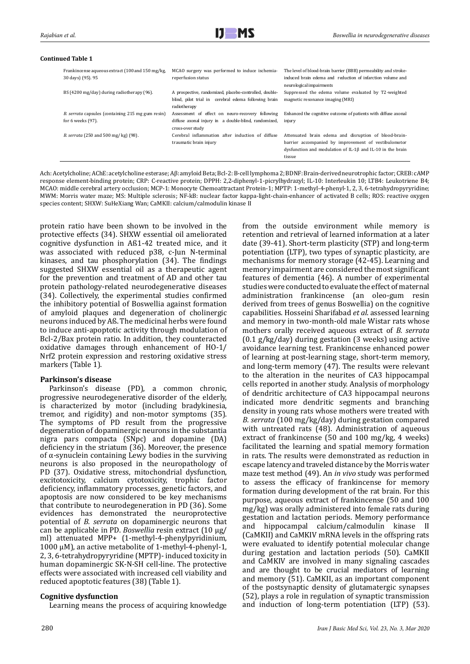regulation of Bcl-2 and down-regulation of Bax and caspase-

#### **Continued Table 1**

| Frankincense aqueous extract (100 and 150 mg/kg,<br>30 days) (95). 95              | MCAO surgery was performed to induce ischemia-<br>reperfusion status                                                           | The level of blood-brain barrier (BBB) permeability and stroke-<br>induced brain edema and reduction of infarction volume and<br>neurological impairments                             |
|------------------------------------------------------------------------------------|--------------------------------------------------------------------------------------------------------------------------------|---------------------------------------------------------------------------------------------------------------------------------------------------------------------------------------|
| BS (4200 mg/day) during radiotherapy (96).                                         | A prospective, randomized, placebo-controlled, double-<br>blind, pilot trial in cerebral edema following brain<br>radiotherapy | Suppressed the edema volume evaluated by T2-weighted<br>magnetic resonance imaging (MRI)                                                                                              |
| <i>B. serrata capsules (containing 215 mg gum resin)</i><br>for $6$ weeks $(97)$ . | Assessment of effect on neuro-recovery following<br>diffuse axonal injury in a double-blind, randomized,<br>cross-over study   | Enhanced the cognitive outcome of patients with diffuse axonal<br>injury                                                                                                              |
| B. serrata (250 and 500 mg/kg) (98).                                               | Cerebral inflammation after induction of diffuse<br>traumatic brain injury                                                     | Attenuated brain edema and disruption of blood-brain-<br>barrier accompanied by improvement of vestibulomotor<br>dysfunction and modulation of IL-1ß and IL-10 in the brain<br>tissue |

Ach: Acetylcholine; AChE: acetylcholine esterase; Aβ: amyloid Beta; Bcl-2: B-cell lymphoma 2; BDNF: Brain-derived neurotrophic factor; CREB: cAMP response element-binding protein; CRP: C-reactive protein; DPPH: 2,2-diphenyl-1-picrylhydrazyl; IL-10: Interleukin 10; LTB4: Leukotriene B4; MCAO: middle cerebral artery occlusion; MCP-1: Monocyte Chemoattractant Protein-1; MPTP: 1-methyl-4-phenyl-1, 2, 3, 6-tetrahydropyryridine; MWM: Morris water maze; MS: Multiple sclerosis; NF-kB: nuclear factor kappa-light-chain-enhancer of activated B cells; ROS: reactive oxygen species content; SHXW: SuHeXiang Wan; CaMKII: calcium/calmodulin kinase II

protein ratio have been shown to be involved in the protective effects (34). SHXW essential oil ameliorated cognitive dysfunction in Aß1-42 treated mice, and it was associated with reduced p38, c-Jun N-terminal kinases, and tau phosphorylation (34). The findings suggested SHXW essential oil as a therapeutic agent for the prevention and treatment of AD and other tau protein pathology-related neurodegenerative diseases (34). Collectively, the experimental studies confirmed the inhibitory potential of Boswellia against formation of amyloid plaques and degeneration of cholinergic neurons induced by Aß. The medicinal herbs were found to induce anti-apoptotic activity through modulation of Bcl-2/Bax protein ratio. In addition, they counteracted oxidative damages through enhancement of HO-1/ Nrf2 protein expression and restoring oxidative stress markers (Table 1).

## **Parkinson's disease**

Parkinson's disease (PD), a common chronic, progressive neurodegenerative disorder of the elderly, is characterized by motor (including bradykinesia, tremor, and rigidity) and non-motor symptoms (35). The symptoms of PD result from the progressive degeneration of dopaminergic neurons in the substantia nigra pars compacta (SNpc) and dopamine (DA) deficiency in the striatum (36). Moreover, the presence of α-synuclein containing Lewy bodies in the surviving neurons is also proposed in the neuropathology of PD (37). Oxidative stress, mitochondrial dysfunction, excitotoxicity, calcium cytotoxicity, trophic factor deficiency, inflammatory processes, genetic factors, and apoptosis are now considered to be key mechanisms that contribute to neurodegeneration in PD (36). Some evidences has demonstrated the neuroprotective potential of *B. serrata* on dopaminergic neurons that can be applicable in PD. *Boswellia* resin extract (10 µg/ ml) attenuated MPP+ (1-methyl-4-phenylpyridinium, 1000 µM), an active metabolite of 1-methyl-4-phenyl-1, 2, 3, 6-tetrahydropyryridine (MPTP)- induced toxicity in human dopaminergic SK-N-SH cell-line. The protective effects were associated with increased cell viability and reduced apoptotic features (38) (Table 1).

## **Cognitive dysfunction**

Learning means the process of acquiring knowledge

from the outside environment while memory is retention and retrieval of learned information at a later date (39-41). Short-term plasticity (STP) and long-term potentiation (LTP), two types of synaptic plasticity, are mechanisms for memory storage (42-45). Learning and memory impairment are considered the most significant features of dementia (46). A number of experimental studies were conducted to evaluate the effect of maternal administration frankincense (an oleo-gum resin derived from trees of genus Boswellia) on the cognitive capabilities. Hosseini Sharifabad *et al*. assessed learning and memory in two-month-old male Wistar rats whose mothers orally received aqueous extract of *B. serrata* (0.1 g/kg/day) during gestation (3 weeks) using active avoidance learning test. Frankincense enhanced power of learning at post-learning stage, short-term memory, and long-term memory (47). The results were relevant to the alteration in the neurites of CA3 hippocampal cells reported in another study. Analysis of morphology of dendritic architecture of CA3 hippocampal neurons indicated more dendritic segments and branching density in young rats whose mothers were treated with *B. serrata* (100 mg/kg/day) during gestation compared with untreated rats (48). Administration of aqueous extract of frankincense (50 and 100 mg/kg, 4 weeks) facilitated the learning and spatial memory formation in rats. The results were demonstrated as reduction in escape latency and traveled distance by the Morris water maze test method (49). An *in vivo* study was performed to assess the efficacy of frankincense for memory formation during development of the rat brain. For this purpose, aqueous extract of frankincense (50 and 100 mg/kg) was orally administered into female rats during gestation and lactation periods. Memory performance and hippocampal calcium/calmodulin kinase II (CaMKII) and CaMKIV mRNA levels in the offspring rats were evaluated to identify potential molecular change during gestation and lactation periods (50). CaMKII and CaMKIV are involved in many signaling cascades and are thought to be crucial mediators of learning and memory (51). CaMKII, as an important component of the postsynaptic density of glutamatergic synapses (52), plays a role in regulation of synaptic transmission and induction of long-term potentiation (LTP) (53).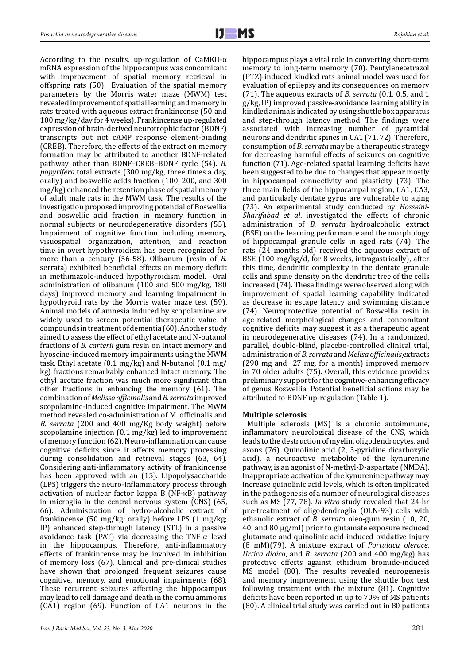According to the results, up-regulation of CaMKII- $\alpha$ mRNA expression of the hippocampus was concomitant with improvement of spatial memory retrieval in offspring rats (50). Evaluation of the spatial memory parameters by the Morris water maze (MWM) test revealed improvement of spatial learning and memory in rats treated with aqueous extract frankincense (50 and 100 mg/kg/day for 4 weeks). Frankincense up-regulated expression of brain-derived neurotrophic factor (BDNF) transcripts but not cAMP response element-binding (CREB). Therefore, the effects of the extract on memory formation may be attributed to another BDNF-related pathway other than BDNF–CREB–BDNF cycle (54). *B. papyrifera* total extracts (300 mg/kg, three times a day, orally) and boswellic acids fraction (100, 200, and 300 mg/kg) enhanced the retention phase of spatial memory of adult male rats in the MWM task. The results of the investigation proposed improving potential of Boswellia and boswellic acid fraction in memory function in normal subjects or neurodegenerative disorders (55). Impairment of cognitive function including memory, visuospatial organization, attention, and reaction time in overt hypothyroidism has been recognized for more than a century (56-58). Olibanum (resin of *B*. serrata) exhibited beneficial effects on memory deficit in methimazole-induced hypothyroidism model. Oral administration of olibanum (100 and 500 mg/kg, 180 days) improved memory and learning impairment in hypothyroid rats by the Morris water maze test (59). Animal models of amnesia induced by scopolamine are widely used to screen potential therapeutic value of compounds in treatment of dementia (60). Another study aimed to assess the effect of ethyl acetate and N-butanol fractions of *B. carterii* gum resin on intact memory and hyoscine-induced memory impairments using the MWM task. Ethyl acetate (0.1 mg/kg) and N-butanol (0.1 mg/ kg) fractions remarkably enhanced intact memory. The ethyl acetate fraction was much more significant than other fractions in enhancing the memory (61). The combination of *Melissa officinalis* and *B. serrata* improved scopolamine-induced cognitive impairment. The MWM method revealed co-administration of M. officinalis and *B. serrata* (200 and 400 mg/Kg body weight) before scopolamine injection (0.1 mg/kg) led to improvement of memory function (62). Neuro-inflammation can cause cognitive deficits since it affects memory processing during consolidation and retrieval stages (63, 64). Considering anti-inflammatory activity of frankincense has been approved with an (15). Lipopolysaccharide (LPS) triggers the neuro-inflammatory process through activation of nuclear factor kappa B (NF-κB) pathway in microglia in the central nervous system (CNS) (65, 66). Administration of hydro-alcoholic extract of frankincense (50 mg/kg; orally) before LPS (1 mg/kg; IP) enhanced step-through latency (STL) in a passive avoidance task (PAT) via decreasing the TNF- $\alpha$  level in the hippocampus. Therefore, anti-inflammatory effects of frankincense may be involved in inhibition of memory loss (67). Clinical and pre-clinical studies have shown that prolonged frequent seizures cause cognitive, memory, and emotional impairments (68). These recurrent seizures affecting the hippocampus may lead to cell damage and death in the cornu ammonis (CA1) region (69). Function of CA1 neurons in the

hippocampus plays a vital role in converting short-term memory to long-term memory (70). Pentylenetetrazol (PTZ)-induced kindled rats animal model was used for evaluation of epilepsy and its consequences on memory (71). The aqueous extracts of *B. serrata* (0.1, 0.5, and 1 g/kg, IP) improved passive-avoidance learning ability in kindled animals indicated by using shuttle box apparatus and step-through latency method. The findings were associated with increasing number of pyramidal neurons and dendritic spines in CA1 (71, 72). Therefore, consumption of *B. serrata* may be a therapeutic strategy for decreasing harmful effects of seizures on cognitive function (71). Age-related spatial learning deficits have been suggested to be due to changes that appear mostly in hippocampal connectivity and plasticity (73). The three main fields of the hippocampal region, CA1, CA3, and particularly dentate gyrus are vulnerable to aging (73). An experimental study conducted by *Hosseini-Sharifabad et al*. investigated the effects of chronic administration of *B. serrata* hydroalcoholic extract (BSE) on the learning performance and the morphology of hippocampal granule cells in aged rats (74). The rats (24 months old) received the aqueous extract of BSE (100 mg/kg/d, for 8 weeks, intragastrically), after this time, dendritic complexity in the dentate granule cells and spine density on the dendritic tree of the cells increased (74). These findings were observed along with improvement of spatial learning capability indicated as decrease in escape latency and swimming distance (74). Neuroprotective potential of Boswellia resin in age-related morphological changes and concomitant cognitive deficits may suggest it as a therapeutic agent in neurodegenerative diseases (74). In a randomized, parallel, double-blind, placebo-controlled clinical trial, administration of *B. serrata* and *Melisa officinalis* extracts (290 mg and 27 mg, for a month) improved memory in 70 older adults (75). Overall, this evidence provides preliminary support for the cognitive-enhancing efficacy of genus Boswellia. Potential beneficial actions may be attributed to BDNF up-regulation (Table 1).

## **Multiple sclerosis**

 Multiple sclerosis (MS) is a chronic autoimmune, inflammatory neurological disease of the CNS, which leads to the destruction of myelin, oligodendrocytes, and axons (76). Quinolinic acid (2, 3-pyridine dicarboxylic acid), a neuroactive metabolite of the kynurenine pathway, is an agonist of N-methyl-D-aspartate (NMDA). Inappropriate activation of the kynurenine pathway may increase quinolinic acid levels, which is often implicated in the pathogenesis of a number of neurological diseases such as MS (77, 78). *In vitro* study revealed that 24 hr pre-treatment of oligodendroglia (OLN-93) cells with ethanolic extract of *B. serrata* oleo-gum resin (10, 20, 40, and 80 µg/ml) prior to glutamate exposure reduced glutamate and quinolinic acid-induced oxidative injury (8 mM)(79). A mixture extract of *Portulaca olerace*, *Urtica dioica*, and *B. serrata* (200 and 400 mg/kg) has protective effects against ethidium bromide-induced MS model (80). The results revealed neurogenesis and memory improvement using the shuttle box test following treatment with the mixture (81). Cognitive deficits have been reported in up to 70% of MS patients (80). A clinical trial study was carried out in 80 patients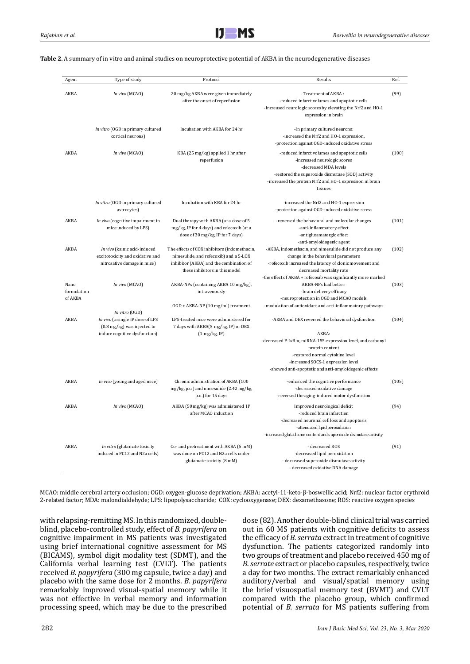| Agent                          | Type of study                                                                                                                | Protocol                                                                                                                                                            | Results                                                                                                                                                                                                                                                                         | Ref.  |
|--------------------------------|------------------------------------------------------------------------------------------------------------------------------|---------------------------------------------------------------------------------------------------------------------------------------------------------------------|---------------------------------------------------------------------------------------------------------------------------------------------------------------------------------------------------------------------------------------------------------------------------------|-------|
| AKBA                           | In vivo (MCAO)                                                                                                               | 20 mg/kg AKBA were given immediately<br>after the onset of reperfusion                                                                                              | Treatment of AKBA:<br>-reduced infarct volumes and apoptotic cells<br>-increased neurologic scores by elevating the Nrf2 and HO-1<br>expression in brain                                                                                                                        | (99)  |
|                                | In vitro (OGD in primary cultured<br>cortical neurons)                                                                       | Incubation with AKBA for 24 hr                                                                                                                                      | -In primary cultured neurons:<br>-increased the Nrf2 and HO-1 expression,<br>-protection against OGD-induced oxidative stress                                                                                                                                                   |       |
| AKBA                           | In vivo (MCAO)                                                                                                               | KBA (25 mg/kg) applied 1 hr after<br>reperfusion                                                                                                                    | -reduced infarct volumes and apoptotic cells<br>-increased neurologic scores<br>-decreased MDA levels<br>-restored the superoxide dismutase (SOD) activity<br>-increased the protein Nrf2 and HO-1 expression in brain<br>tissues                                               | (100) |
|                                | In vitro (OGD in primary cultured<br>astrocytes)                                                                             | Incubation with KBA for 24 hr                                                                                                                                       | -increased the Nrf2 and HO-1 expression<br>-protection against OGD-induced oxidative stress                                                                                                                                                                                     |       |
| AKBA                           | In vivo (cognitive impairment in<br>mice induced by LPS)                                                                     | Dual therapy with AKBA (at a dose of 5<br>mg/kg, IP for 4 days) and celecoxib (at a<br>dose of 30 mg/kg, IP for 7 days)                                             | -reversed the behavioral and molecular changes<br>-anti-inflammatory effect<br>-antiglutamatergic effect<br>-anti-amyloidogenic agent                                                                                                                                           | (101) |
| AKBA                           | In vivo (kainic acid-induced<br>excitotoxicity and oxidative and<br>nitrosative damage in mice)                              | The effects of COX inhibitors (indomethacin,<br>nimesulide, and rofecoxib) and a 5-LOX<br>inhibitor (AKBA) and the combination of<br>these inhibitors in this model | -AKBA, indomethacin, and nimesulide did not produce any<br>change in the behavioral parameters<br>-rofecoxib increased the latency of clonic movement and<br>decreased mortality rate<br>-the effect of AKBA + rofecoxib was significantly more marked                          | (102) |
| Nano<br>formulation<br>of AKBA | In vivo (MCAO)                                                                                                               | AKBA-NPs (containing AKBA 10 mg/kg),<br>intravenously<br>OGD + AKBA-NP (10 mg/ml) treatment                                                                         | AKBA-NPs had better:<br>-brain delivery efficacy<br>-neuroprotection in OGD and MCAO models<br>-modulation of antioxidant and anti-inflammatory pathways                                                                                                                        | (103) |
| AKBA                           | In vitro (OGD)<br>In vivo (a single IP dose of LPS<br>$(0.8 \text{ mg/kg})$ was injected to<br>induce cognitive dysfunction) | LPS-treated mice were administered for<br>7 days with AKBA(5 mg/kg, IP) or DEX<br>$(1 \text{ mg/kg}, IP)$                                                           | -AKBA and DEX reversed the behavioral dysfunction<br>AKBA:<br>-decreased P-IκB-α, miRNA-155 expression level, and carbonyl<br>protein content<br>-restored normal cytokine level<br>-increased SOCS-1 expression level<br>-showed anti-apoptotic and anti-amyloidogenic effects | (104) |
| AKBA                           | In vivo (young and aged mice)                                                                                                | Chronic administration of AKBA (100<br>mg/kg, p.o.) and nimesulide (2.42 mg/kg,<br>p.o.) for 15 days                                                                | -enhanced the cognitive performance<br>-decreased oxidative damage<br>-reversed the aging-induced motor dysfunction                                                                                                                                                             | (105) |
| AKBA                           | In vivo (MCAO)                                                                                                               | AKBA (50 mg/kg) was administered IP<br>after MCAO induction                                                                                                         | Improved neurological deficit<br>-reduced brain infarction<br>-decreased neuronal cell loss and apoptosis<br>-attenuated lipid peroxidation<br>-increased glutathione content and superoxide dismutase activity                                                                 | (94)  |
| AKBA                           | In vitro (glutamate toxicity<br>induced in PC12 and N2a cells)                                                               | Co- and pretreatment with AKBA (5 mM)<br>was done on PC12 and N2a cells under<br>glutamate toxicity (8 mM)                                                          | - decreased ROS<br>-decreased lipid peroxidation<br>- decreased superoxide dismutase activity<br>- decreased oxidative DNA damage                                                                                                                                               | (91)  |

**Table 2.** A summary of in vitro and animal studies on neuroprotective potential of AKBA in the neurodegenerative diseases

MCAO: middle cerebral artery occlusion; OGD: oxygen-glucose deprivation; AKBA: acetyl-11-keto-β-boswellic acid; Nrf2: nuclear factor erythroid 2-related factor; MDA: malondialdehyde; LPS: lipopolysaccharide; COX: cyclooxygenase; DEX: dexamethasone; ROS: reactive oxygen species

with relapsing-remitting MS. In this randomized, doubleblind, placebo-controlled study, effect of *B. papyrifera* on cognitive impairment in MS patients was investigated using brief international cognitive assessment for MS (BICAMS), symbol digit modality test (SDMT), and the California verbal learning test (CVLT). The patients received *B. papyrifera* (300 mg capsule, twice a day) and placebo with the same dose for 2 months. *B. papyrifera*  remarkably improved visual-spatial memory while it was not effective in verbal memory and information processing speed, which may be due to the prescribed dose (82). Another double-blind clinical trial was carried out in 60 MS patients with cognitive deficits to assess the efficacy of *B. serrata* extract in treatment of cognitive dysfunction. The patients categorized randomly into two groups of treatment and placebo received 450 mg of *B. serrate* extract or placebo capsules, respectively, twice a day for two months. The extract remarkably enhanced auditory/verbal and visual/spatial memory using the brief visuospatial memory test (BVMT) and CVLT compared with the placebo group, which confirmed potential of *B. serrata* for MS patients suffering from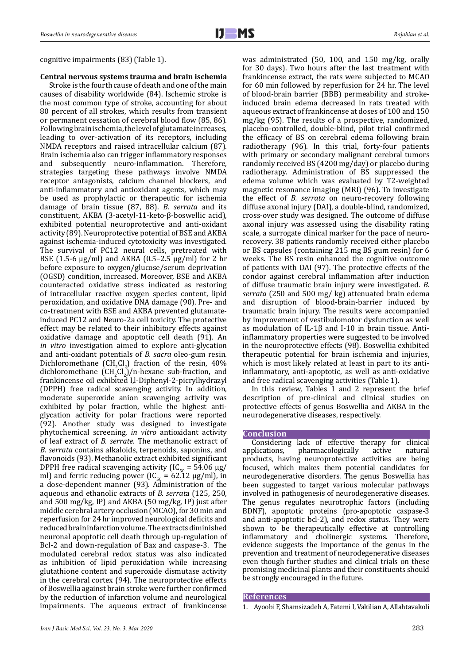cognitive impairments (83) (Table 1).

# **Central nervous systems trauma and brain ischemia**

Stroke is the fourth cause of death and one of the main causes of disability worldwide (84). Ischemic stroke is the most common type of stroke, accounting for about 80 percent of all strokes, which results from transient or permanent cessation of cerebral blood flow (85, 86). Following brain ischemia, the level of glutamate increases, leading to over-activation of its receptors, including NMDA receptors and raised intracellular calcium (87). Brain ischemia also can trigger inflammatory responses and subsequently neuro-inflammation. Therefore, strategies targeting these pathways involve NMDA receptor antagonists, calcium channel blockers, and anti-inflammatory and antioxidant agents, which may be used as prophylactic or therapeutic for ischemia damage of brain tissue (87, 88). *B. serrata* and its constituent, AKBA (3-acetyl-11-keto-β-boswellic acid), exhibited potential neuroprotective and anti-oxidant activity (89). Neuroprotective potential of BSE and AKBA against ischemia-induced cytotoxicity was investigated. The survival of PC12 neural cells, pretreated with BSE (1.5-6 µg/ml) and AKBA (0.5–2.5 µg/ml) for 2 hr before exposure to oxygen/glucose/serum deprivation (OGSD) condition, increased. Moreover, BSE and AKBA counteracted oxidative stress indicated as restoring of intracellular reactive oxygen species content, lipid peroxidation, and oxidative DNA damage (90). Pre- and co-treatment with BSE and AKBA prevented glutamateinduced PC12 and Neuro-2a cell toxicity. The protective effect may be related to their inhibitory effects against oxidative damage and apoptotic cell death (91). An *in vitro* investigation aimed to explore anti-glycation and anti-oxidant potentials of *B. sacra* oleo-gum resin. Dichloromethane  $\text{CH}_2\text{Cl}_2$ ) fraction of the resin, 40% dichloromethane  $(\text{CH}_2\text{Cl}_2)$ /n-hexane sub-fraction, and frankincense oil exhibited l,l-Diphenyl-2-picrylhydrazyl (DPPH) free radical scavenging activity. In addition, moderate superoxide anion scavenging activity was exhibited by polar fraction, while the highest antiglycation activity for polar fractions were reported (92). Another study was designed to investigate phytochemical screening, *in vitro* antioxidant activity of leaf extract of *B. serrate*. The methanolic extract of *B. serrata* contains alkaloids, terpenoids, saponins, and flavonoids (93). Methanolic extract exhibited significant DPPH free radical scavenging activity (IC<sub>50</sub> = 54.06  $\mu$ g/ ml) and ferric reducing power (IC<sub>50</sub> = 62.12  $\mu$ g/ml), in a dose-dependent manner (93). Administration of the aqueous and ethanolic extracts of *B. serrat*a (125, 250, and 500 mg/kg, IP) and AKBA (50 mg/kg, IP) just after middle cerebral artery occlusion (MCAO), for 30 min and reperfusion for 24 hr improved neurological deficits and reduced brain infarction volume. The extracts diminished neuronal apoptotic cell death through up-regulation of Bcl-2 and down-regulation of Bax and caspase-3. The modulated cerebral redox status was also indicated as inhibition of lipid peroxidation while increasing glutathione content and superoxide dismutase activity in the cerebral cortex (94). The neuroprotective effects of Boswellia against brain stroke were further confirmed by the reduction of infarction volume and neurological impairments. The aqueous extract of frankincense

was administrated (50, 100, and 150 mg/kg, orally for 30 days). Two hours after the last treatment with frankincense extract, the rats were subjected to MCAO for 60 min followed by reperfusion for 24 hr. The level of blood-brain barrier (BBB) permeability and strokeinduced brain edema decreased in rats treated with aqueous extract of frankincense at doses of 100 and 150 mg/kg (95). The results of a prospective, randomized, placebo-controlled, double-blind, pilot trial confirmed the efficacy of BS on cerebral edema following brain radiotherapy (96). In this trial, forty-four patients with primary or secondary malignant cerebral tumors randomly received BS (4200 mg/day) or placebo during radiotherapy. Administration of BS suppressed the edema volume which was evaluated by T2-weighted magnetic resonance imaging (MRI) (96). To investigate the effect of *B. serrata* on neuro-recovery following diffuse axonal injury (DAI), a double-blind, randomized, cross-over study was designed. The outcome of diffuse axonal injury was assessed using the disability rating scale, a surrogate clinical marker for the pace of neurorecovery. 38 patients randomly received either placebo or BS capsules (containing 215 mg BS gum resin) for 6 weeks. The BS resin enhanced the cognitive outcome of patients with DAI (97). The protective effects of the condor against cerebral inflammation after induction of diffuse traumatic brain injury were investigated. *B. serrata* (250 and 500 mg/ kg) attenuated brain edema and disruption of blood-brain-barrier induced by traumatic brain injury. The results were accompanied by improvement of vestibulomotor dysfunction as well as modulation of IL-1β and I-10 in brain tissue. Antiinflammatory properties were suggested to be involved in the neuroprotective effects (98). Boswellia exhibited therapeutic potential for brain ischemia and injuries, which is most likely related at least in part to its antiinflammatory, anti-apoptotic, as well as anti-oxidative and free radical scavenging activities (Table 1).

In this review, Tables 1 and 2 represent the brief description of pre-clinical and clinical studies on protective effects of genus Boswellia and AKBA in the neurodegenerative diseases, respectively.

## **Conclusion**

Considering lack of effective therapy for clinical<br>applications, pharmacologically active natural pharmacologically products, having neuroprotective activities are being focused, which makes them potential candidates for neurodegenerative disorders. The genus Boswellia has been suggested to target various molecular pathways involved in pathogenesis of neurodegenerative diseases. The genus regulates neurotrophic factors (including BDNF), apoptotic proteins (pro-apoptotic caspase-3 and anti-apoptotic bcl-2), and redox status. They were shown to be therapeutically effective at controlling inflammatory and cholinergic systems. Therefore, evidence suggests the importance of the genus in the prevention and treatment of neurodegenerative diseases even though further studies and clinical trials on these promising medicinal plants and their constituents should be strongly encouraged in the future.

#### **References**

1. Ayoobi F, Shamsizadeh A, Fatemi I, Vakilian A, Allahtavakoli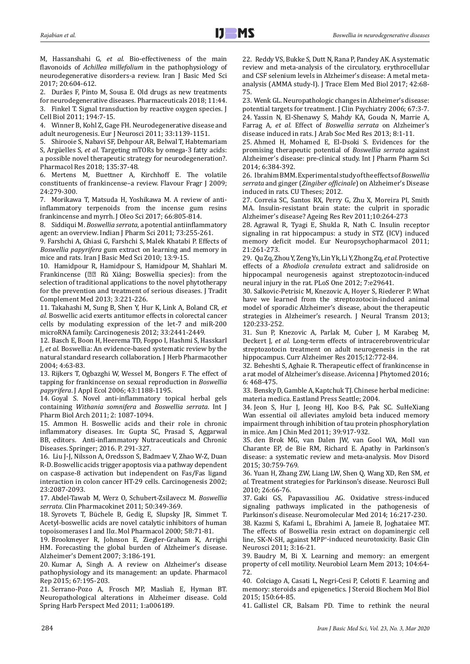M, Hassanshahi G*, et al.* Bio-effectiveness of the main flavonoids of *Achillea millefolium* in the pathophysiology of neurodegenerative disorders-a review. Iran J Basic Med Sci 2017; 20:604-612.

2. Durães F, Pinto M, Sousa E. Old drugs as new treatments for neurodegenerative diseases. Pharmaceuticals 2018; 11:44. 3. Finkel T. Signal transduction by reactive oxygen species. J Cell Biol 2011; 194:7-15.

4. Winner B, Kohl Z, Gage FH. Neurodegenerative disease and adult neurogenesis. Eur J Neurosci 2011; 33:1139-1151.

5. Shirooie S, Nabavi SF, Dehpour AR, Belwal T, Habtemariam S, Argüelles S*, et al.* Targeting mTORs by omega-3 fatty acids: a possible novel therapeutic strategy for neurodegeneration?. Pharmacol Res 2018; 135:37-48.

6. Mertens M, Buettner A, Kirchhoff E. The volatile constituents of frankincense–a review. Flavour Fragr J 2009; 24:279-300.

7. Morikawa T, Matsuda H, Yoshikawa M. A review of antiinflammatory terpenoids from the incense gum resins frankincense and myrrh. J Oleo Sci 2017; 66:805-814.

8. Siddiqui M. *Boswellia serrata*, a potential antiinflammatory agent: an overview. Indian J Pharm Sci 2011; 73:255-261.

9. Farshchi A, Ghiasi G, Farshchi S, Malek Khatabi P. Effects of *Boswellia papyrifera* gum extract on learning and memory in mice and rats. Iran J Basic Med Sci 2010; 13:9-15.

10. Hamidpour R, Hamidpour S, Hamidpour M, Shahlari M. Frankincense (乳香 Rǔ Xiāng; Boswellia species): from the selection of traditional applications to the novel phytotherapy for the prevention and treatment of serious diseases. J Tradit Complement Med 2013; 3:221-226.

11. Takahashi M, Sung B, Shen Y, Hur K, Link A, Boland CR*, et al.* Boswellic acid exerts antitumor effects in colorectal cancer cells by modulating expression of the let-7 and miR-200 microRNA family. Carcinogenesis 2012; 33:2441-2449.

12. Basch E, Boon H, Heerema TD, Foppo I, Hashmi S, Hasskarl J*, et al.* Boswellia: An evidence-based systematic review by the natural standard research collaboration. J Herb Pharmacother 2004; 4:63-83.

13. Rijkers T, Ogbazghi W, Wessel M, Bongers F. The effect of tapping for frankincense on sexual reproduction in *Boswellia papyrifera*. J Appl Ecol 2006; 43:1188-1195.

14. Goyal S. Novel anti-inflammatory topical herbal gels containing *Withania somnifera* and *Boswellia serrata*. Int J Pharm Biol Arch 2011; 2: 1087-1094.

15. Ammon H. Boswellic acids and their role in chronic inflammatory diseases. In: Gupta SC, Prasad S, Aggarwal BB, editors. Anti-inflammatory Nutraceuticals and Chronic Diseases. Springer; 2016. P. 291-327.

16. Liu J-J, Nilsson A, Oredsson S, Badmaev V, Zhao W-Z, Duan R-D. Boswellic acids trigger apoptosis via a pathway dependent on caspase-8 activation but independent on Fas/Fas ligand interaction in colon cancer HT-29 cells. Carcinogenesis 2002; 23:2087-2093.

17. Abdel-Tawab M, Werz O, Schubert-Zsilavecz M. *Boswellia serrata*. Clin Pharmacokinet 2011; 50:349-369.

18. Syrovets T, Büchele B, Gedig E, Slupsky JR, Simmet T. Acetyl-boswellic acids are novel catalytic inhibitors of human topoisomerases I and IIα. Mol Pharmacol 2000; 58:71-81.

19. Brookmeyer R, Johnson E, Ziegler-Graham K, Arrighi HM. Forecasting the global burden of Alzheimer's disease. Alzheimer's Dement 2007; 3:186-191.

20. Kumar A, Singh A. A review on Alzheimer's disease pathophysiology and its management: an update. Pharmacol Rep 2015; 67:195-203.

21. Serrano-Pozo A, Frosch MP, Masliah E, Hyman BT. Neuropathological alterations in Alzheimer disease. Cold Spring Harb Perspect Med 2011; 1:a006189.

22. Reddy VS, Bukke S, Dutt N, Rana P, Pandey AK. A systematic review and meta-analysis of the circulatory, erythrocellular and CSF selenium levels in Alzheimer's disease: A metal metaanalysis (AMMA study-I). J Trace Elem Med Biol 2017; 42:68- 75.

23. Wenk GL. Neuropathologic changes in Alzheimer's disease: potential targets for treatment. J Clin Psychiatry 2006; 67:3-7. 24. Yassin N, El-Shenawy S, Mahdy KA, Gouda N, Marrie A, Farrag A*, et al.* Effect of *Boswellia serrata* on Alzheimer's disease induced in rats. J Arab Soc Med Res 2013; 8:1-11.

25. Ahmed H, Mohamed E, El-Dsoki S. Evidences for the promising therapeutic potential of *Boswellia serrata* against Alzheimer's disease: pre-clinical study. Int J Pharm Pharm Sci 2014; 6:384-392.

26. Ibrahim BMM. Experimental study of the effects of *Boswellia serrata* and ginger (*Zingiber officinale*) on Alzheimer's Disease induced in rats. CU Theses; 2012.

27. Correia SC, Santos RX, Perry G, Zhu X, Moreira PI, Smith MA. Insulin-resistant brain state: the culprit in sporadic Alzheimer's disease? Ageing Res Rev 2011;10:264-273

28. Agrawal R, Tyagi E, Shukla R, Nath C. Insulin receptor signaling in rat hippocampus: a study in STZ (ICV) induced memory deficit model. Eur Neuropsychopharmacol 2011; 21:261-273.

29. Qu Zq, Zhou Y, Zeng Ys, Lin Yk, Li Y, Zhong Zq*, et al.* Protective effects of a *Rhodiola crenulata* extract and salidroside on hippocampal neurogenesis against streptozotocin-induced neural injury in the rat. PLoS One 2012; 7:e29641.

30. Salkovic-Petrisic M, Knezovic A, Hoyer S, Riederer P. What have we learned from the streptozotocin-induced animal model of sporadic Alzheimer's disease, about the therapeutic strategies in Alzheimer's research. J Neural Transm 2013; 120:233-252.

31. Sun P, Knezovic A, Parlak M, Cuber J, M Karabeg M, Deckert J*, et al.* Long-term effects of intracerebroventricular streptozotocin treatment on adult neurogenesis in the rat hippocampus. Curr Alzheimer Res 2015;12:772-84.

32. Beheshti S, Aghaie R. Therapeutic effect of frankincense in a rat model of Alzheimer's disease. Avicenna J Phytomed 2016; 6: 468-475.

33. Bensky D, Gamble A, Kaptchuk TJ. Chinese herbal medicine: materia medica. Eastland Press Seattle; 2004.

34. Jeon S, Hur J, Jeong HJ, Koo B-S, Pak SC. SuHeXiang Wan essential oil alleviates amyloid beta induced memory impairment through inhibition of tau protein phosphorylation in mice. Am J Chin Med 2011; 39:917-932.

35. den Brok MG, van Dalen JW, van Gool WA, Moll van Charante EP, de Bie RM, Richard E. Apathy in Parkinson's disease: a systematic review and meta-analysis. Mov Disord 2015; 30:759-769.

36. Yuan H, Zhang ZW, Liang LW, Shen Q, Wang XD, Ren SM*, et al.* Treatment strategies for Parkinson's disease. Neurosci Bull 2010; 26:66-76.

37. Gaki GS, Papavassiliou AG. Oxidative stress-induced signaling pathways implicated in the pathogenesis of Parkinson's disease. Neuromolecular Med 2014; 16:217-230.

38. Kazmi S, Kafami L, Ebrahimi A, Jameie B, Joghataiee MT. The effects of Boswellia resin extract on dopaminergic cell line, SK-N-SH, against MPP+ -induced neurotoxicity. Basic Clin Neurosci 2011; 3:16-21.

39. Baudry M, Bi X. Learning and memory: an emergent property of cell motility. Neurobiol Learn Mem 2013; 104:64- 72.

40. Colciago A, Casati L, Negri-Cesi P, Celotti F. Learning and memory: steroids and epigenetics. J Steroid Biochem Mol Biol 2015; 150:64-85.

41. Gallistel CR, Balsam PD. Time to rethink the neural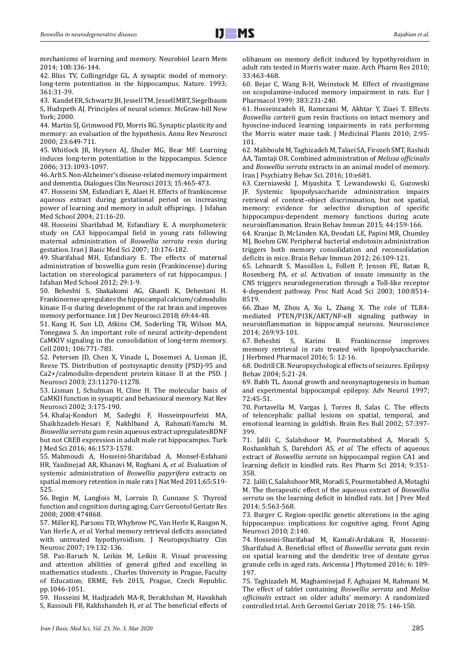mechanisms of learning and memory. Neurobiol Learn Mem 2014; 108:136-144.

42. Bliss TV, Collingridge GL. A synaptic model of memory: long-term potentiation in the hippocampus. Nature. 1993; 361:31-39.

43. Kandel ER, Schwartz JH, Jessell TM, Jessell MBT, Siegelbaum S*,* Hudspeth AJ*.* Principles of neural science. McGraw-hill New York; 2000.

44. Martin SJ, Grimwood PD, Morris RG. Synaptic plasticity and memory: an evaluation of the hypothesis. Annu Rev Neurosci 2000; 23:649-711.

45. Whitlock JR, Heynen AJ, Shuler MG, Bear MF. Learning induces long-term potentiation in the hippocampus. Science 2006; 313:1093-1097.

46. Arlt S. Non-Alzheimer's disease-related memory impairment and dementia. Dialogues Clin Neurosci 2013; 15:465-473.

47. Hosseini SM, Esfandiari E, Alaei H. Effects of frankincense aqueous extract during gestational period on increasing power of learning and memory in adult offsprings. J Isfahan Med School 2004; 21:16-20.

48. Hosseini Sharifabad M, Esfandiary E. A morphometeric study on CA3 hippocampal field in young rats following maternal administration of *Boswellia serrata* resin during gestation. Iran J Basic Med Sci 2007; 10:176-182.

49. Sharifabad MH, Esfandiary E. The effects of maternal administration of boswellia gum resin (Frankincense) during lactation on stereological parameters of rat hippocampus. I Isfahan Med School 2012; 29:1-9.

50. Beheshti S, Shakakomi AG, Ghaedi K, Dehestani H. Frankincense upregulates the hippocampal calcium/calmodulin kinase II-α during development of the rat brain and improves memory performance. Int J Dev Neurosci 2018; 69:44-48.

51. Kang H, Sun LD, Atkins CM, Soderling TR, Wilson MA, Tonegawa S. An important role of neural activity-dependent CaMKIV signaling in the consolidation of long-term memory. Cell 2001; 106:771-783.

52. Petersen JD, Chen X, Vinade L, Dosemeci A, Lisman JE, Reese TS. Distribution of postsynaptic density (PSD)-95 and Ca2+/calmodulin-dependent protein kinase II at the PSD. J Neurosci 2003; 23:11270-11278.

53. Lisman J, Schulman H, Cline H. The molecular basis of CaMKII function in synaptic and behavioural memory. Nat Rev Neurosci 2002; 3:175-190.

54. Khalaj-Kondori M, Sadeghi F, Hosseinpourfeizi MA, Shaikhzadeh-Hesari F, Nakhlband A, Rahmati-Yamchi M. *Boswellia serrata* gum resin aqueous extract upregulatesBDNF but not CREB expression in adult male rat hippocampus. Turk J Med Sci 2016; 46:1573-1578.

55. Mahmoudi A, Hosseini-Sharifabad A, Monsef-Esfahani HR, Yazdinejad AR, Khanavi M, Roghani A*, et al.* Evaluation of systemic administration of *Boswellia papyrifera* extracts on spatial memory retention in male rats J Nat Med 2011;65:519- 525.

56. Begin M, Langlois M, Lorrain D, Cunnane S. Thyroid function and cognition during aging. Curr Gerontol Geriatr Res 2008; 2008:474868.

57. Miller KJ, Parsons TD, Whybrow PC, Van Herle K, Rasgon N, Van Herle A*, et al.* Verbal memory retrieval deficits associated with untreated hypothyroidism. J Neuropsychiatry Clin Neurosc 2007; 19:132-136.

58. Paz-Baruch N, Leikin M, Leikin R. Visual processing and attention abilities of general gifted and excelling in mathematics students. , Charles University in Prague, Faculty of Education; ERME, Feb 2015, Prague, Czech Republic. pp.1046-1051.

59. Hosseini M, Hadjzadeh MA-R, Derakhshan M, Havakhah S, Rassouli FB, Rakhshandeh H*, et al.* The beneficial effects of olibanum on memory deficit induced by hypothyroidism in adult rats tested in Morris water maze. Arch Pharm Res 2010; 33:463-468.

60. Bejar C, Wang R-H, Weinstock M. Effect of rivastigmine on scopolamine-induced memory impairment in rats. Eur J Pharmacol 1999; 383:231-240.

61. Hosseinzadeh H, Ramezani M, Akhtar Y, Ziaei T. Effects *Boswellia carterii* gum resin fractions on intact memory and hyoscine-induced learning impairments in rats performing the Morris water maze task. J Medicinal Plants 2010; 2:95- 101.

62. Mahboubi M, Taghizadeh M, Talaei SA, Firozeh SMT, Rashidi AA, Tamtaji OR. Combined administration of *Melissa officinalis* and *Boswellia serrata* extracts in an animal model of memory. Iran J Psychiatry Behav Sci. 2016; 10:e681.

63. Czerniawski J, Miyashita T, Lewandowski G, Guzowski JF. Systemic lipopolysaccharide administration impairs retrieval of context–object discrimination, but not spatial, memory: evidence for selective disruption of specific hippocampus-dependent memory functions during acute neuroinflammation. Brain Behav Immun 2015; 44:159-166.

64. Kranjac D, McLinden KA, Deodati LE, Papini MR, Chumley MJ, Boehm GW. Peripheral bacterial endotoxin administration triggers both memory consolidation and reconsolidation deficits in mice. Brain Behav Immun 2012; 26:109-121.

65. Lehnardt S, Massillon L, Follett P, Jensen FE, Ratan R, Rosenberg PA*, et al.* Activation of innate immunity in the CNS triggers neurodegeneration through a Toll-like receptor 4-dependent pathway. Proc Natl Acad Sci 2003; 100:8514- 8519.

66. Zhao M, Zhou A, Xu L, Zhang X. The role of TLR4 mediated PTEN/PI3K/AKT/NF-κB signaling pathway in neuroinflammation in hippocampal neurons. Neuroscience 2014; 269:93-101.<br>67. Beheshti S,

Karimi B. Frankincense improves memory retrieval in rats treated with lipopolysaccharide. J Herbmed Pharmacol 2016; 5: 12-16.

68. Dodrill CB. Neuropsychological effects of seizures. Epilepsy Behav 2004; 5:21-24.

69. Babb TL. Axonal growth and neosynaptogenesis in human and experimental hippocampal epilepsy. Adv Neurol 1997; 72:45-51.

70. Portavella M, Vargas J, Torres B, Salas C. The effects of telencephalic pallial lesions on spatial, temporal, and emotional learning in goldfish. Brain Res Bull 2002; 57:397- 399.

71. Jalili C, Salahshoor M, Pourmotabbed A, Moradi S, Roshankhah S, Darehdori AS*, et al.* The effects of aqueous extract of *Boswellia serrata* on hippocampal region CA1 and learning deficit in kindled rats. Res Pharm Sci 2014; 9:351- 358.

72. Jalili C, Salahshoor MR, Moradi S, Pourmotabbed A, Motaghi M. The therapeutic effect of the aqueous extract of *Boswellia serrata* on the learning deficit in kindled rats. Int J Prev Med 2014; 5:563-568.

73. Burger C. Region-specific genetic alterations in the aging hippocampus: implications for cognitive aging. Front Aging Neurosci 2010; 2:140.

74. Hosseini-Sharifabad M, Kamali-Ardakani R, Hosseini-Sharifabad A. Beneficial effect of *Boswellia serrata* gum resin on spatial learning and the dendritic tree of dentate gyrus granule cells in aged rats. Avicenna J Phytomed 2016; 6: 189- 197.

75. Taghizadeh M, Maghaminejad F, Aghajani M, Rahmani M. The effect of tablet containing *Boswellia serrata* and *Melisa officinalis* extract on older adults' memory: A randomized controlled trial. Arch Gerontol Geriatr 2018; 75: 146-150.